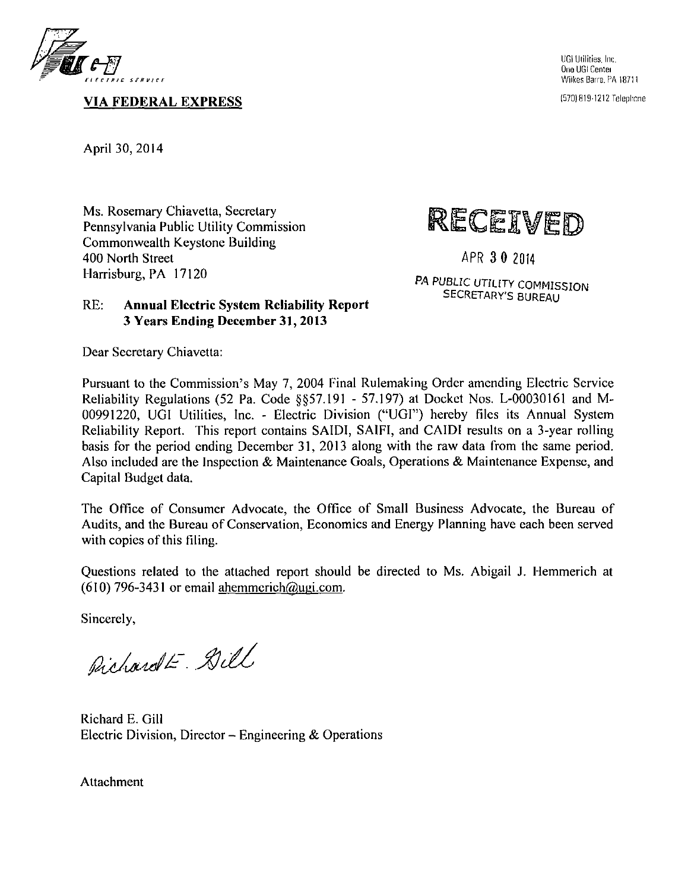

**VIA FEDERAL EXPRESS** 

UGI Utilities. Inc. One UGI Centei Wilkes Barre, PA 18711

I57D) (119-1212 Telephnne

April 30, 2014

Ms. Rosemary Chiavetta, Secretary Pennsylvania Public Utility Commission Commonwealth Keystone Building 400 North Street Harrisburg, PA 17120



**APR 3 0 2014** 

**PA PUBLIC UTILITY COMMISSION SECRETARY'S BUREAU** 

#### **RE: Annual Electric System Reliability Report 3 Years Ending December 31, 2013**

Dear Secretary Chiavetta:

Pursuant to the Commission's May 7, 2004 Final Rulemaking Order amending Electric Service Reliability Regulations (52 Pa. Code §§57.191 - 57.197) at Docket Nos. L-00030161 and M-00991220, UGI Utilities, Inc. - Electric Division ("UGI") hereby files its Annual System Reliability Report. This report contains SAIDI, SAIFI, and CAIDI results on a 3-year rolling basis for the period ending December 31, 2013 along with the raw data from the same period. Also included are the Inspection & Maintenance Goals, Operations & Maintenance Expense, and Capital Budget data.

The Office of Consumer Advocate, the Office of Small Business Advocate, the Bureau of Audits, and the Bureau of Conservation, Economics and Energy Planning have each been served with copies of this filing.

Questions related to the attached report should be directed to Ms. Abigail J. Hemmerich at (610) 796-3431 or email ahemmerich@ugi.com.

Sincerely,

Pichardt- Dill

Richard E. Gill Electric Division, Director  $-$  Engineering & Operations

Attachment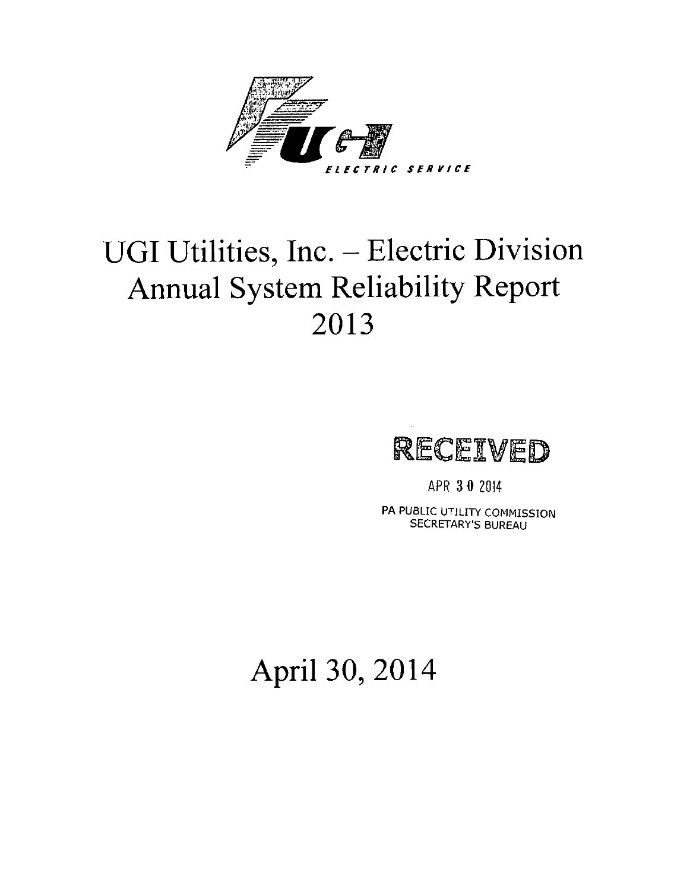

# **UGI Utilities, Inc. - Electric Division Annual System Reliability Report 2013**



APR 3 0 2014

PA PUBLIC UTILITY COMMISSION SECRETARY'S BUREAU

# **April 30, 2014**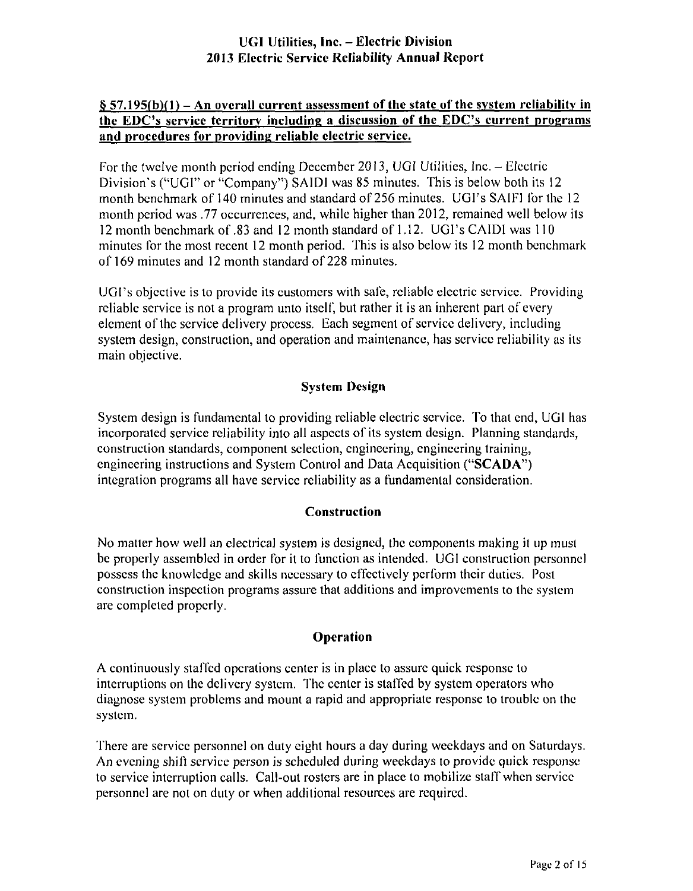#### **§ 57.195(b)fl) - An overall current assessment of the state of the system reliability in the EDC's service territory including a discussion of the EDC's current programs and procedures for providing reliable electric service.**

For ihc twelve month period ending December 2013, UGI Utilities, Inc. - Electric Division's ("UGI" or "Company") SAIDI was 85 minutes. This is below both its 12 month benchmark of 140 minutes and standard of 256 minutes. UGI's SAIFI for the 12 month period was .77 occurrences, and, while higher lhan 2012, remained well below its 12 month benchmark of .83 and 12 month standard of 1.12. UGI's CAIDI was 110 minutes for the mosl recent 12 month period. This is also below its 12 month benchmark of 169 minutes and 12 month standard of 228 minules.

UGI's objective is lo provide its customers with safe, reliable electric service. Providing reliable service is not a program unto itself, but rather it is an inherent part of every element of the service delivery process. Each segment of service delivery, including system design, construction, and operation and maintenance, has service reliability as its main objective.

#### **System Design**

System design is fundamental to providing reliable electric service. To that end, UGI has incorporated service reliability into all aspects of its system design. Planning standards, construction standards, component selection, engineering, engineering training, engineering instructions and System Control and Data Acquisition ("SCADA") integration programs all have service reliability as a fundamental consideration.

#### **Construction**

No matler how well an electrical system is designed, the components making it up musl be properly assembled in order for it to function as intended. UGI construction personnel possess the knowledge and skills necessary to effectively perform their duties. Posl construction inspection programs assure that additions and improvements to the system are compleled properly.

#### **Operation**

A continuously staffed operations center is in place to assure quick response lo interruptions on the delivery system. The center is staffed by system operators who diagnose system problems and mount a rapid and appropriate response lo trouble on the system.

There are service personnel on duty eight hours a day during weekdays and on Saturdays. An evening shift service person is scheduled during weekdays to provide quick response to service interruplion calls. Call-out rosters are in place to mobilize staff when service personnel are not on duty or when additional resources are required.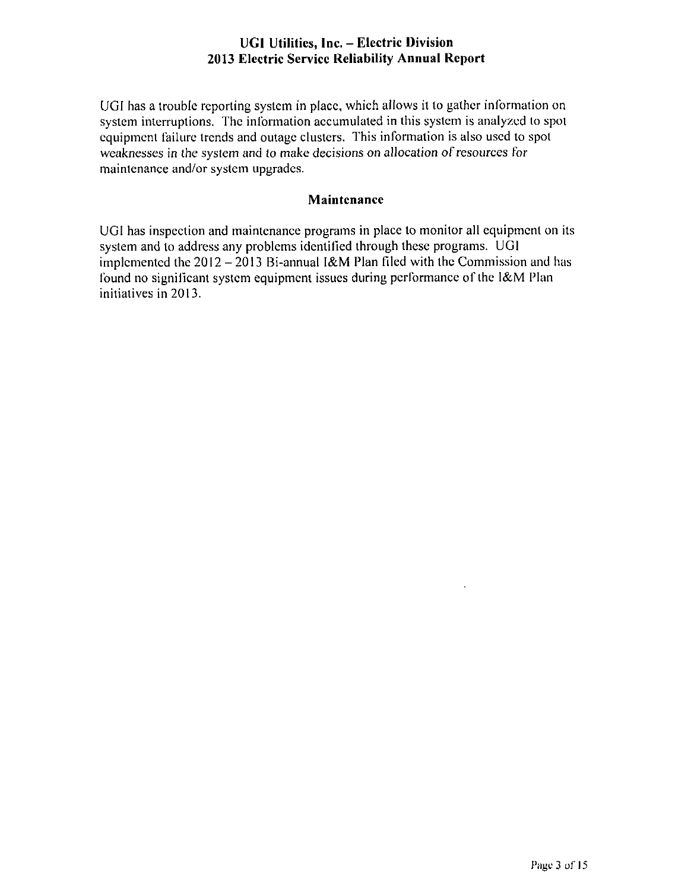UGI has a trouble reporting system in place, which allows it to gather information on system interruptions. The information accumulated in this system is analyzed to spot equipment failure trends and outage clusters. This informalion is also used to spot weaknesses in the system and to make decisions on allocation of resources for maintenance and/or system upgrades.

#### **Maintenance**

UGI has inspection and maintenance programs in place to monitor all equipment on its system and to address any problems identified through these programs. UGI implemented the  $2012 - 2013$  Bi-annual I&M Plan filed with the Commission and has found no significant system equipment issues during performance of the l&M Plan initiatives in 2013.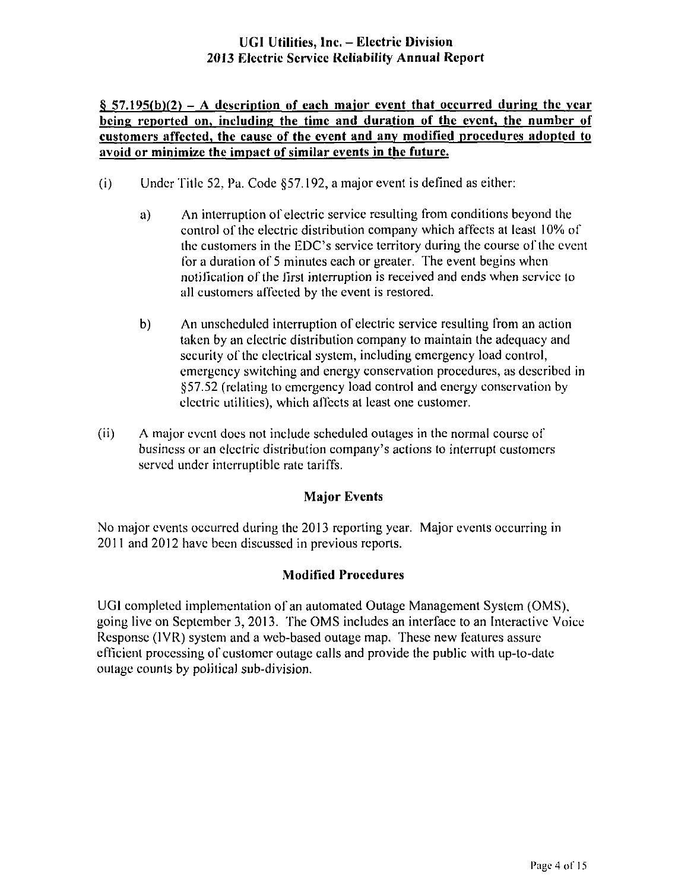#### $§$  57.195(b)(2) – A description of each major event that occurred during the year **being reported on, including the time and duration of the event, the number of customers affected, the cause of the event and any modified procedures adopted to avoid or minimize the impact of similar events in the future.**

- (i) Under Tille 52, Pa. Code §57.192, a major event is defined as either:
	- a) An interruption of electric service resulting from conditions beyond the control of the electric distribution company which affects at least 10% of the customers in the EDC's service territory during the course of the event for a duration of 5 minutes each or greater. The event begins when notification of the first interruption is received and ends when service to all customers affected by the event is restored.
	- b) An unscheduled interruption of electric service resulting from an action taken by an electric dislribution company to maintain the adequacy and security of the electrical system, including emergency load control, emergency switching and energy conservation procedures, as described in §57.52 (relating to emergency load control and energy conservation by electric utililies), which affects al least one customer.
- (ii) A major event does not include scheduled outages in the normal course of business or an electric distribution company's actions to interrupt customers served under interruptible rate tariffs.

#### **Major Events**

No major events occurred during the 2013 reporting year. Major events occurring in 2011 and 2012 have been discussed in previous reports.

#### **Modified Procedures**

UGI completed implementation of an automated Oulage Management System (OMS), going live on September 3, 2013. The OMS includes an interface to an Interaclivc Voice Response (1VR) system and a web-based outage map. These new features assure efficient processing of customer outage calls and provide the public with up-to-date oulage counts by polilical sub-division.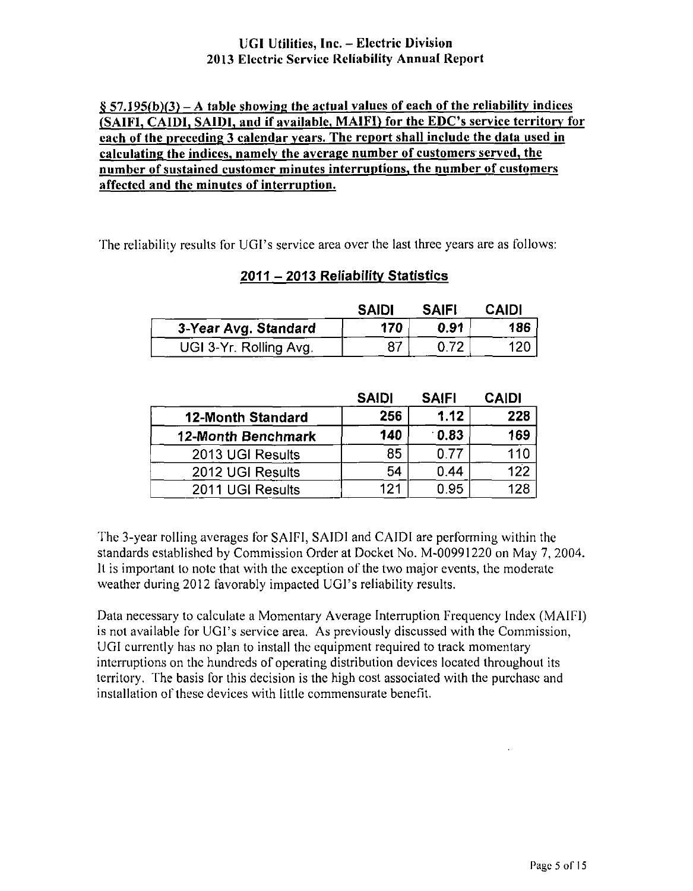#### **§ 57.195(b)(3) - A table showing the actual values of each of the reliability indices (SAIFI, CAIDI, SAIDI, and if available. MAIFI) for the EDC's service territory for each of the preceding 3 calendar years. The report shall include the data used in calculating the indices, namely the average number of customers served, the number of sustained customer minutes interruptions, the number of customers affected and the minutes of interruption.**

'he reliability results for UGI's service area over the last three years are as follows:

#### **2011 - 2013 Reliability Statistics**

|                        | <b>SAIDI</b> | <b>SAIFI</b> | <b>CAIDI</b> |
|------------------------|--------------|--------------|--------------|
| 3-Year Avg. Standard   | 170          | 0.91         | 186          |
| UGI 3-Yr. Rolling Avg. |              |              |              |

|                          | <b>SAIDI</b> | <b>SAIFI</b> | <b>CAIDI</b> |
|--------------------------|--------------|--------------|--------------|
| <b>12-Month Standard</b> | 256          | 1.12         | 228          |
| 12-Month Benchmark       | 140          | 0.83         | 169          |
| 2013 UGI Results         | 85           | 0.77         | 110          |
| 2012 UGI Results         | 54           | 0.44         | 122          |
| 2011 UGI Results         | 121          | 0.95         | 128          |

The 3-year rolling averages for SAIFI, SAIDI and CAIDI are performing within the standards established by Commission Order at Docket No. M-00991220 on May 7, 2004. ll is important lo note that with the exception of the two major events, the moderate weather during 2012 favorably impacted UGI's reliability results.

Data necessary lo calculate a Momentary Average Interruption Frequency Index (MAIFI) is not available for UGI's service area. As previously discussed with the Commission, UGI currently has no plan to install the equipment required to track momentary interruptions on the hundreds of operating distribution devices located Ihroughout its territory. The basis for this decision is the high cost associated with the purchase and installation of these devices with little commensurate benefit.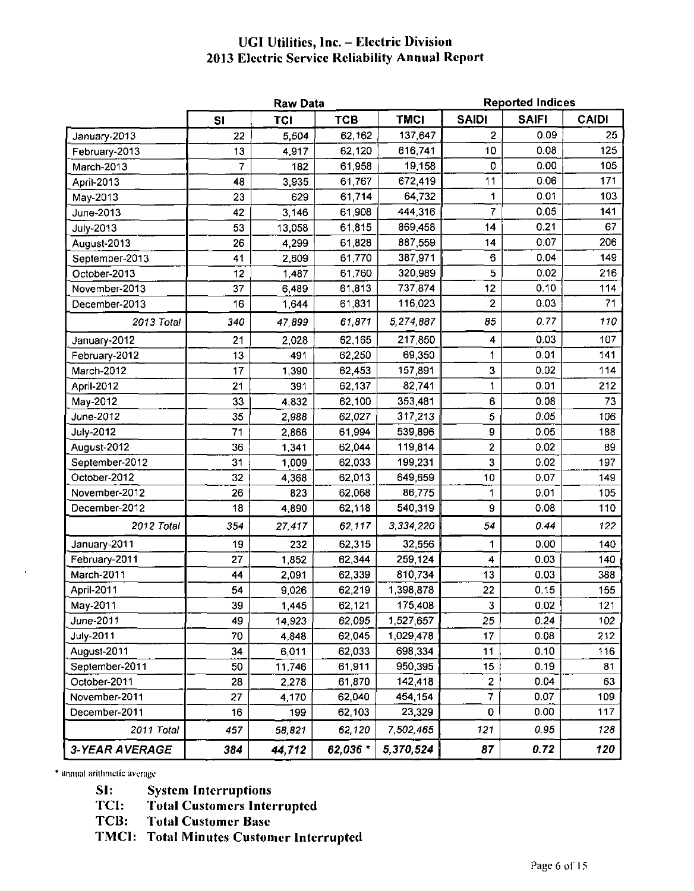|                       |     | <b>Raw Data</b> |            |             | <b>Reported Indices</b> |              |              |
|-----------------------|-----|-----------------|------------|-------------|-------------------------|--------------|--------------|
|                       | SI  | <b>TCI</b>      | <b>TCB</b> | <b>TMCI</b> | <b>SAIDI</b>            | <b>SAIFI</b> | <b>CAIDI</b> |
| January-2013          | 22  | 5,504           | 62,162     | 137,647     | $\overline{2}$          | 0.09         | 25           |
| February-2013         | 13  | 4917            | 62 120     | 616,741     | 10                      | 0.08         | 125          |
| March-2013            | 7   | 182             | 61.958     | 19,158      | 0                       | 0.00         | 105          |
| April-2013            | 48  | 3 9 3 5         | 61,767     | 672,419     | 11                      | 0.06         | 171          |
| May-2013              | 23  | 629             | 61,714     | 64,732      | 1                       | 0.01         | 103          |
| June-2013             | 42  | 3 146           | 61,908     | 444,316     | 7                       | 0.05         | 141          |
| <b>July-2013</b>      | 53  | 13,058          | 61,815     | 869,458     | 14                      | 0.21         | 67           |
| August-2013           | 26  | 4.299           | 61,828     | 887,559     | 14                      | 0.07         | 206          |
| September-2013        | 41  | 2,609           | 61,770     | 387,971     | 6                       | 0.04         | 149          |
| October-2013          | 12  | 1.487           | 61,760     | 320,989     | 5                       | 0.02         | 216          |
| November-2013         | 37  | 6,489           | 61,813     | 737,874     | 12                      | 0.10         | 114          |
| December-2013         | 16  | 1,644           | 61,831     | 116,023     | $\overline{\mathbf{c}}$ | 0.03         | 71           |
| 2013 Total            | 340 | 47,899          | 61,871     | 5,274,887   | 85                      | 0.77         | 110          |
| January-2012          | 21  | 2.028           | 62,165     | 217,850     | 4                       | 0.03         | 107          |
| February-2012         | 13  | 491             | 62,250     | 69,350      | 1                       | 0.01         | 141          |
| March-2012            | 17  | 1 3 9 0         | 62 453     | 157,891     | 3                       | 0.02         | 114          |
| April-2012            | 21  | 391             | 62.137     | 82,741      | 1                       | 0.01         | 212          |
| May-2012              | 33  | 4,832           | 62,100     | 353,481     | 6                       | 0.08         | 73           |
| June-2012             | 35  | 2,988           | 62,027     | 317,213     | 5                       | 0.05         | 106          |
| <b>July-2012</b>      | 71  | 2,866           | 61,994     | 539,896     | 9                       | 0.05         | 188          |
| August-2012           | 36  | 1,341           | 62,044     | 119,814     | $\mathbf{2}$            | 0.02         | 89           |
| September-2012        | 31  | 1,009           | 62,033     | 199,231     | 3                       | 0.02         | 197          |
| October-2012          | 32  | 4,368           | 62,013     | 649,659     | 10                      | 0.07         | 149          |
| November-2012         | 26  | 823             | 62,068     | 86,775      | 1                       | 0.01         | 105          |
| December-2012         | 18  | 4,890           | 62,118     | 540,319     | 9                       | 0.08         | 110          |
| 2012 Total            | 354 | 27,417          | 62,117     | 3,334,220   | 54                      | 0.44         | 122          |
| January-2011          | 19  | 232             | 62.315     | 32,556      | 1                       | 0.00         | 140          |
| February-2011         | 27  | 1.852           | 62.344     | 259,124     | 4                       | 0.03         | 140          |
| March-2011            | 44  | 2,091           | 62,339     | 810 734     | 13                      | 0.03         | 388          |
| April-2011            | 54  | 9,026           | 62,219     | 1,398,878   | 22                      | 0.15         | 155          |
| May-2011              | 39  | 1,445           | 62,121     | 175,408     | 3                       | 0.02         | 121          |
| June-2011             | 49  | 14,923          | 62 095     | 1 527 657   | 25                      | 0.24         | 102          |
| <b>July-2011</b>      | 70  | 4,848           | 62 045     | 1,029,478   | 17                      | 0.08         | 212          |
| August-2011           | 34  | 6,011           | 62 033     | 698,334     | 11                      | 0.10         | 116          |
| September-2011        | 50  | 11,746          | 61,911     | 950,395     | 15                      | 0.19         | 81           |
| October-2011          | 28  | 2,278           | 61,870     | 142 418     | 2                       | 0.04         | 63           |
| November-2011         | 27  | 4,170           | 62,040     | 454.154     | $\overline{7}$          | 0.07         | 109          |
| December-2011         | 16  | 199             | 62,103     | 23,329      | 0                       | 0.00         | 117          |
| 2011 Total            | 457 | 58,821          | 62,120     | 7,502,465   | 121                     | 0.95         | 128          |
| <b>3-YEAR AVERAGE</b> | 384 | 44,712          | 62,036 *   | 5,370,524   | 87                      | 0.72         | 120          |

**\* ariiuuil ariilimctic avcnigc** 

**SI: System Interruptions** 

**TCI: Total Customers Interrupted** 

**Total Customer Base** 

**TMCI: Total Minutes Customer Interrupted**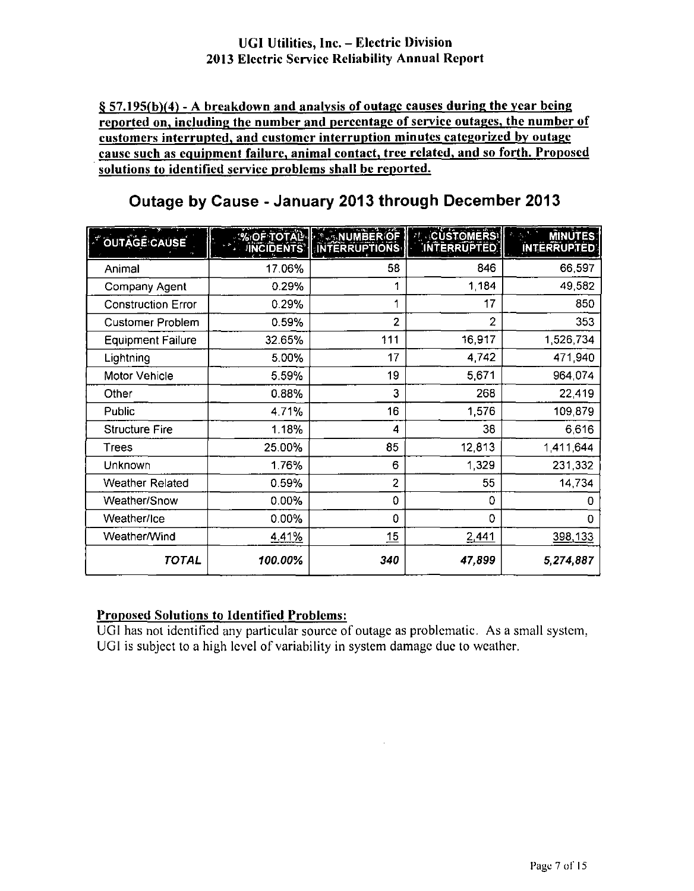**§ 57.195(b)(4) - A breakdown and analysis of outage causes during the vear being reported on, including the number and percentage of service outages, the number of customers interrupted, and customer interruption minutes categorized bv outage cause such as equipment failure, animal contact, tree related, and so forth. Proposed solutions to identified service problems shall be reported.** 

| <b>OUTAGE CAUSE</b>       |              | <b>WOF TOTAL INTERRUPTIONS</b> | <b>CUSTOMERS</b><br>INTERRUPTED | <b>MINUTES:</b><br><b>INTERRUPTED</b> |
|---------------------------|--------------|--------------------------------|---------------------------------|---------------------------------------|
| Animal                    | 17.06%       | 58                             | 846                             | 66,597                                |
| Company Agent             | 0.29%        | 1                              | 1.184                           | 49,582                                |
| <b>Construction Error</b> | 0.29%        | 1                              | 17                              | 850                                   |
| <b>Customer Problem</b>   | 0.59%        | $\overline{2}$                 | 2                               | 353                                   |
| <b>Equipment Failure</b>  | 32.65%       | 111                            | 16,917                          | 1,526,734                             |
| Lightning                 | 5.00%        | 17                             | 4,742                           | 471,940                               |
| Motor Vehicle             | 5.59%        | 19                             | 5,671                           | 964,074                               |
| Other                     | 0.88%        | 3                              | 268                             | 22,419                                |
| Public                    | 4 7 1%       | 16                             | 1,576                           | 109,879                               |
| <b>Structure Fire</b>     | 1.18%        | 4                              | 38                              | 6,616                                 |
| Trees                     | 25.00%       | 85                             | 12,813                          | 1,411,644                             |
| Unknown                   | 1.76%        | 6                              | 1,329                           | 231,332                               |
| Weather Related           | 0.59%        | $\overline{2}$                 | 55                              | 14,734                                |
| Weather/Snow              | $0.00\%$     | 0                              | 0                               | 0                                     |
| Weather/Ice               | $0.00\%$     | 0                              | 0                               | 0                                     |
| Weather/Wind              | <u>4.41%</u> | 15                             | <u>2.441</u>                    | 398,133                               |
| <b>TOTAL</b>              | 100.00%      | 340                            | 47,899                          | 5,274,887                             |

### **Outage by Cause - January 2013 through December 2013**

### **Proposed Solutions to Identified Problems:**

UGI has not identified any particular source of outage as problematic. As a small system, UGI is subject to a high level of variability in system damage due to weather.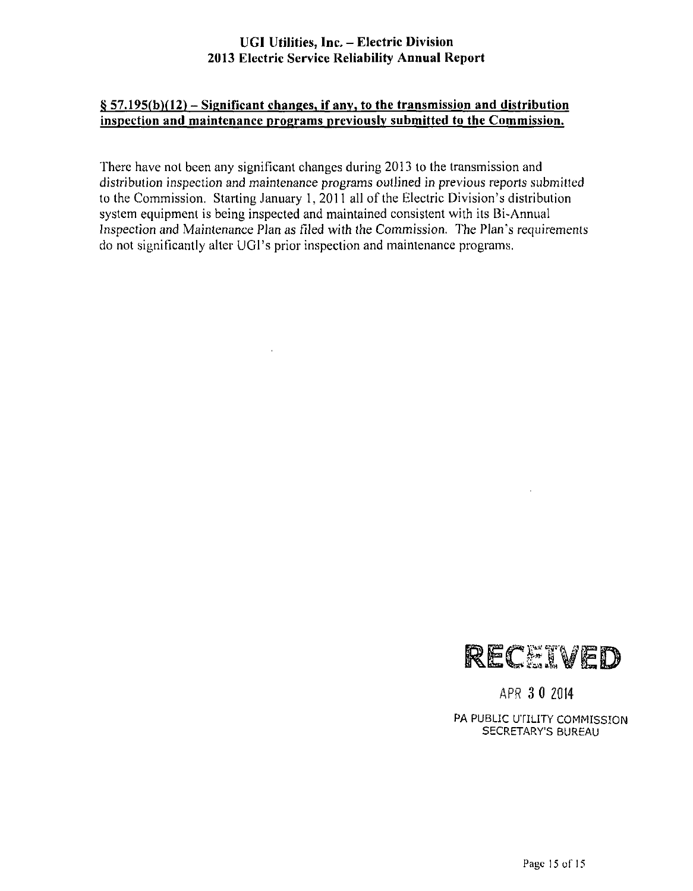#### **§ 57.195(b)(12) - Significant changes, if any, to the transmission and distribution inspection and maintenance programs nreviously submitted to the Commission.**

There have not been any significant changes during 2013 lo the transmission and distribution inspection and maintenance programs outlined in previous reports submitted to the Commission. Starting January 1, 2011 all of the Electric Division's distribution system equipment is being inspected and maintained consistent with its Bi-Annual Inspection and Maintenance Plan as tiled with the Commission. The Plan's requirements do not significantly alter UGI's prior inspection and maintenance programs.



APR 3 0 Z014

PA PUBLIC UTILITY COMMISSION SECRETARY'S BUREAU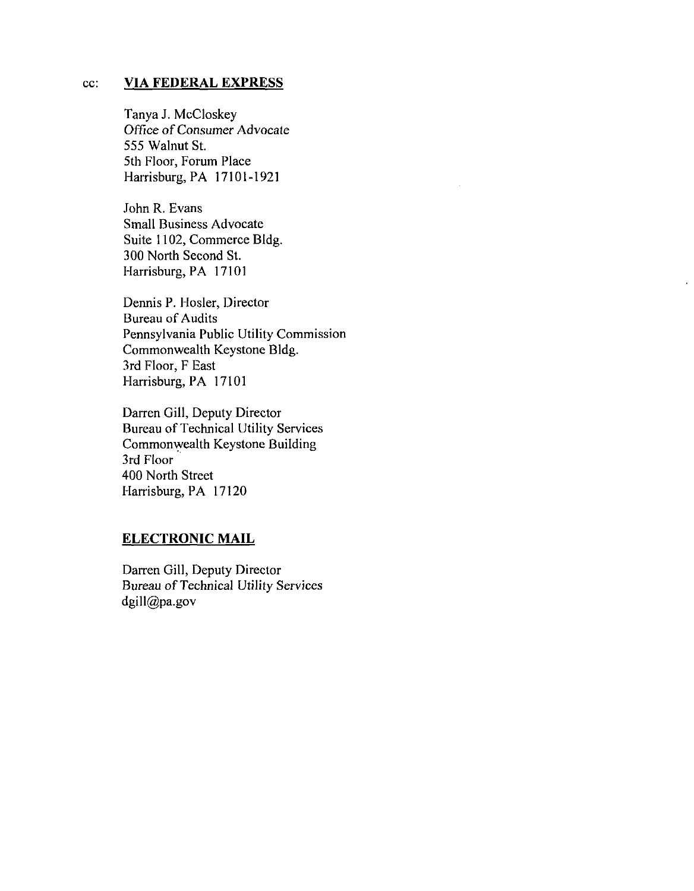#### **cc: VIA FEDERAL EXPRESS**

Tanya J. McCloskey Office of Consumer Advocate 555 Walnut St. 5th Floor, Forum Place Harrisburg, PA 17101-1921

John R. Evans Small Business Advocate Suite 1102, Commerce Bldg. 300 North Second St. Harrisburg, PA 17101

Dennis P. Hosier, Director Bureau of Audits Pennsylvania Public Utility Commission Commonwealth Keystone Bldg. 3rd Floor, F East Harrisburg, PA 17101

Darren Gill, Deputy Director Bureau of Technical Utility Services Commonwealth Keystone Building 3rd Floor 400 North Street Harrisburg, PA 17120

#### **ELECTRONIC MAIL**

Darren Gill, Deputy Director Bureau of Technical Utility Services dgill@pa.gov